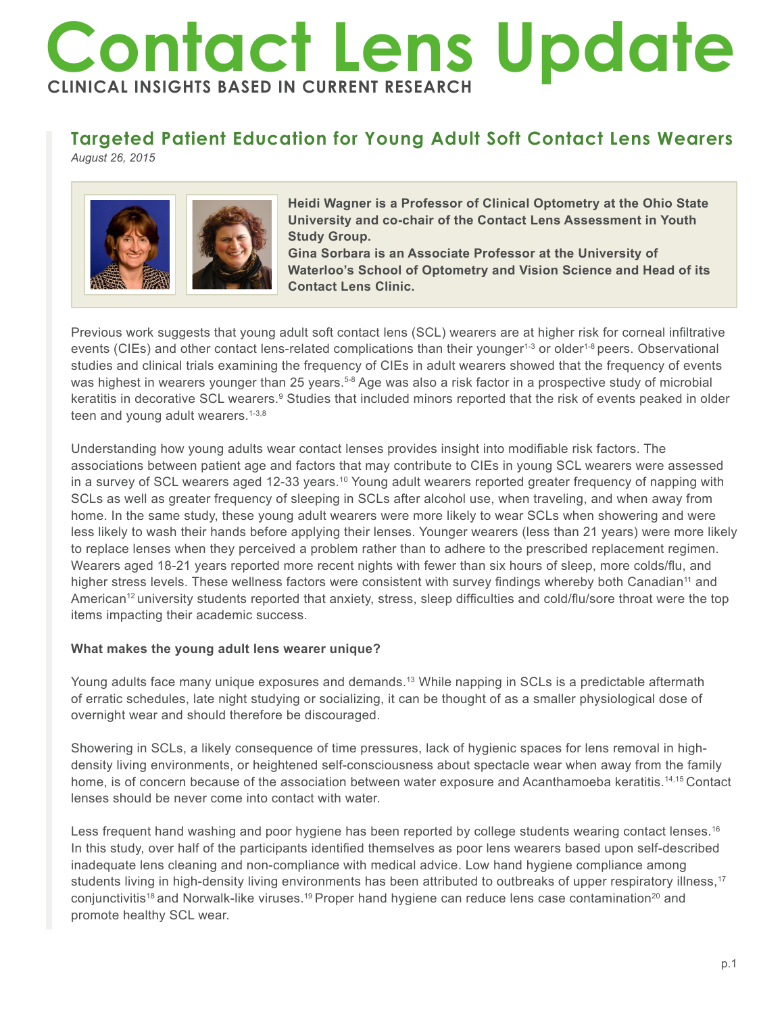# **Contact Lens Update CLINICAL INSIGHTS BASED IN CURRENT RESEARCH**

# **Targeted Patient Education for Young Adult Soft Contact Lens Wearers**

*August 26, 2015*



**Heidi Wagner is a Professor of Clinical Optometry at the Ohio State University and co-chair of the Contact Lens Assessment in Youth Study Group.** 

**Gina Sorbara is an Associate Professor at the University of Waterloo's School of Optometry and Vision Science and Head of its Contact Lens Clinic.**

Previous work suggests that young adult soft contact lens (SCL) wearers are at higher risk for corneal infiltrative events (CIEs) and other contact lens-related complications than their younger<sup>1-3</sup> or older<sup>1-8</sup> peers. Observational studies and clinical trials examining the frequency of CIEs in adult wearers showed that the frequency of events was highest in wearers younger than 25 years.<sup>5-8</sup> Age was also a risk factor in a prospective study of microbial keratitis in decorative SCL wearers.º Studies that included minors reported that the risk of events peaked in older teen and young adult wearers.<sup>1-3,8</sup>

Understanding how young adults wear contact lenses provides insight into modifiable risk factors. The associations between patient age and factors that may contribute to CIEs in young SCL wearers were assessed in a survey of SCL wearers aged 12-33 years.10 Young adult wearers reported greater frequency of napping with SCLs as well as greater frequency of sleeping in SCLs after alcohol use, when traveling, and when away from home. In the same study, these young adult wearers were more likely to wear SCLs when showering and were less likely to wash their hands before applying their lenses. Younger wearers (less than 21 years) were more likely to replace lenses when they perceived a problem rather than to adhere to the prescribed replacement regimen. Wearers aged 18-21 years reported more recent nights with fewer than six hours of sleep, more colds/flu, and higher stress levels. These wellness factors were consistent with survey findings whereby both Canadian<sup>11</sup> and American<sup>12</sup> university students reported that anxiety, stress, sleep difficulties and cold/flu/sore throat were the top items impacting their academic success.

## **What makes the young adult lens wearer unique?**

Young adults face many unique exposures and demands.<sup>13</sup> While napping in SCLs is a predictable aftermath of erratic schedules, late night studying or socializing, it can be thought of as a smaller physiological dose of overnight wear and should therefore be discouraged.

Showering in SCLs, a likely consequence of time pressures, lack of hygienic spaces for lens removal in highdensity living environments, or heightened self-consciousness about spectacle wear when away from the family home, is of concern because of the association between water exposure and Acanthamoeba keratitis.<sup>14,15</sup> Contact lenses should be never come into contact with water.

Less frequent hand washing and poor hygiene has been reported by college students wearing contact lenses.<sup>16</sup> In this study, over half of the participants identified themselves as poor lens wearers based upon self-described inadequate lens cleaning and non-compliance with medical advice. Low hand hygiene compliance among students living in high-density living environments has been attributed to outbreaks of upper respiratory illness,<sup>17</sup> conjunctivitis<sup>18</sup> and Norwalk-like viruses.<sup>19</sup> Proper hand hygiene can reduce lens case contamination<sup>20</sup> and promote healthy SCL wear.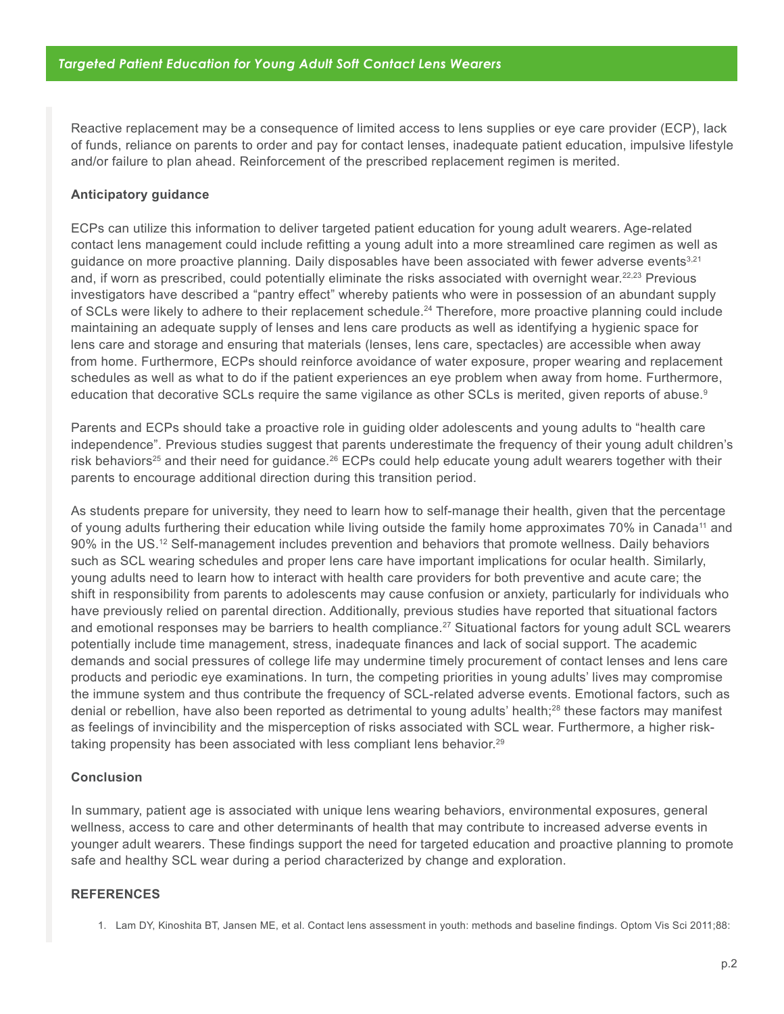Reactive replacement may be a consequence of limited access to lens supplies or eye care provider (ECP), lack of funds, reliance on parents to order and pay for contact lenses, inadequate patient education, impulsive lifestyle and/or failure to plan ahead. Reinforcement of the prescribed replacement regimen is merited.

#### **Anticipatory guidance**

ECPs can utilize this information to deliver targeted patient education for young adult wearers. Age-related contact lens management could include refitting a young adult into a more streamlined care regimen as well as guidance on more proactive planning. Daily disposables have been associated with fewer adverse events<sup>3,21</sup> and, if worn as prescribed, could potentially eliminate the risks associated with overnight wear.<sup>22,23</sup> Previous investigators have described a "pantry effect" whereby patients who were in possession of an abundant supply of SCLs were likely to adhere to their replacement schedule.<sup>24</sup> Therefore, more proactive planning could include maintaining an adequate supply of lenses and lens care products as well as identifying a hygienic space for lens care and storage and ensuring that materials (lenses, lens care, spectacles) are accessible when away from home. Furthermore, ECPs should reinforce avoidance of water exposure, proper wearing and replacement schedules as well as what to do if the patient experiences an eye problem when away from home. Furthermore, education that decorative SCLs require the same vigilance as other SCLs is merited, given reports of abuse.<sup>9</sup>

Parents and ECPs should take a proactive role in guiding older adolescents and young adults to "health care independence". Previous studies suggest that parents underestimate the frequency of their young adult children's risk behaviors<sup>25</sup> and their need for guidance.<sup>26</sup> ECPs could help educate young adult wearers together with their parents to encourage additional direction during this transition period.

As students prepare for university, they need to learn how to self-manage their health, given that the percentage of young adults furthering their education while living outside the family home approximates 70% in Canada<sup>11</sup> and 90% in the US.12 Self-management includes prevention and behaviors that promote wellness. Daily behaviors such as SCL wearing schedules and proper lens care have important implications for ocular health. Similarly, young adults need to learn how to interact with health care providers for both preventive and acute care; the shift in responsibility from parents to adolescents may cause confusion or anxiety, particularly for individuals who have previously relied on parental direction. Additionally, previous studies have reported that situational factors and emotional responses may be barriers to health compliance.<sup>27</sup> Situational factors for young adult SCL wearers potentially include time management, stress, inadequate finances and lack of social support. The academic demands and social pressures of college life may undermine timely procurement of contact lenses and lens care products and periodic eye examinations. In turn, the competing priorities in young adults' lives may compromise the immune system and thus contribute the frequency of SCL-related adverse events. Emotional factors, such as denial or rebellion, have also been reported as detrimental to young adults' health;<sup>28</sup> these factors may manifest as feelings of invincibility and the misperception of risks associated with SCL wear. Furthermore, a higher risktaking propensity has been associated with less compliant lens behavior.<sup>29</sup>

#### **Conclusion**

In summary, patient age is associated with unique lens wearing behaviors, environmental exposures, general wellness, access to care and other determinants of health that may contribute to increased adverse events in younger adult wearers. These findings support the need for targeted education and proactive planning to promote safe and healthy SCL wear during a period characterized by change and exploration.

#### **REFERENCES**

1. Lam DY, Kinoshita BT, Jansen ME, et al. Contact lens assessment in youth: methods and baseline findings. Optom Vis Sci 2011;88: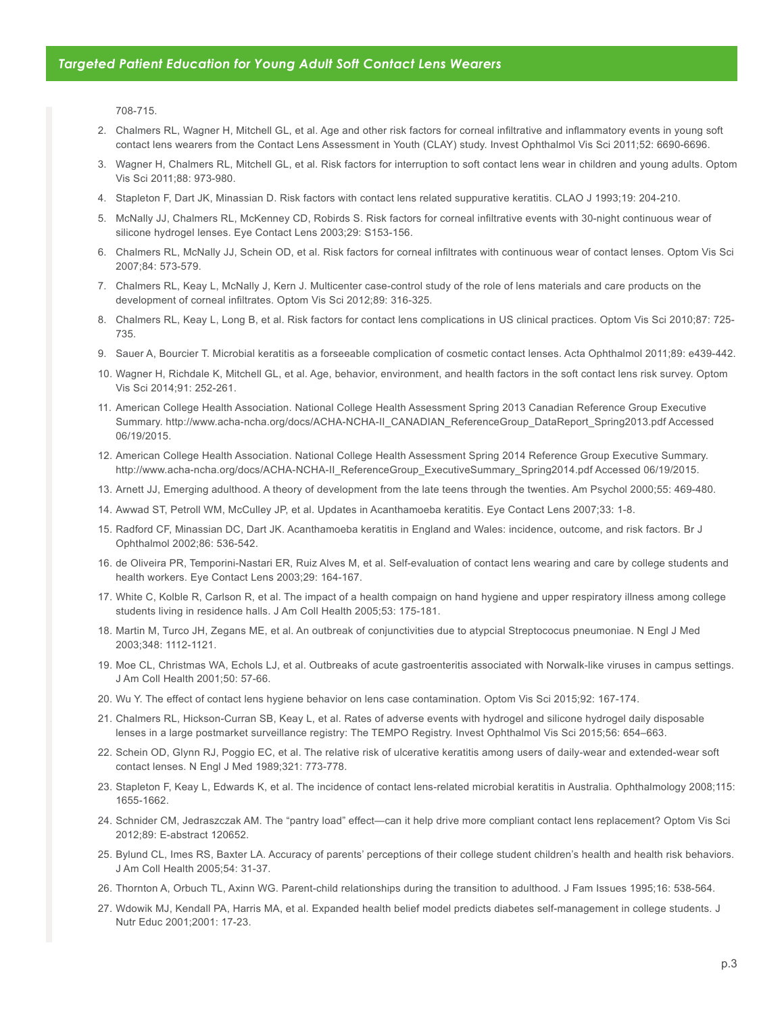708-715.

- 2. Chalmers RL, Wagner H, Mitchell GL, et al. Age and other risk factors for corneal infiltrative and inflammatory events in young soft contact lens wearers from the Contact Lens Assessment in Youth (CLAY) study. Invest Ophthalmol Vis Sci 2011;52: 6690-6696.
- 3. Wagner H, Chalmers RL, Mitchell GL, et al. Risk factors for interruption to soft contact lens wear in children and young adults. Optom Vis Sci 2011;88: 973-980.
- 4. Stapleton F, Dart JK, Minassian D. Risk factors with contact lens related suppurative keratitis. CLAO J 1993;19: 204-210.
- 5. McNally JJ, Chalmers RL, McKenney CD, Robirds S. Risk factors for corneal infiltrative events with 30-night continuous wear of silicone hydrogel lenses. Eye Contact Lens 2003;29: S153-156.
- 6. Chalmers RL, McNally JJ, Schein OD, et al. Risk factors for corneal infiltrates with continuous wear of contact lenses. Optom Vis Sci 2007;84: 573-579.
- 7. Chalmers RL, Keay L, McNally J, Kern J. Multicenter case-control study of the role of lens materials and care products on the development of corneal infiltrates. Optom Vis Sci 2012;89: 316-325.
- 8. Chalmers RL, Keay L, Long B, et al. Risk factors for contact lens complications in US clinical practices. Optom Vis Sci 2010;87: 725- 735.
- 9. Sauer A, Bourcier T. Microbial keratitis as a forseeable complication of cosmetic contact lenses. Acta Ophthalmol 2011;89: e439-442.
- 10. Wagner H, Richdale K, Mitchell GL, et al. Age, behavior, environment, and health factors in the soft contact lens risk survey. Optom Vis Sci 2014;91: 252-261.
- 11. American College Health Association. National College Health Assessment Spring 2013 Canadian Reference Group Executive Summary. http://www.acha-ncha.org/docs/ACHA-NCHA-II\_CANADIAN\_ReferenceGroup\_DataReport\_Spring2013.pdf Accessed 06/19/2015.
- 12. American College Health Association. National College Health Assessment Spring 2014 Reference Group Executive Summary. http://www.acha-ncha.org/docs/ACHA-NCHA-II\_ReferenceGroup\_ExecutiveSummary\_Spring2014.pdf Accessed 06/19/2015.
- 13. Arnett JJ, Emerging adulthood. A theory of development from the late teens through the twenties. Am Psychol 2000;55: 469-480.
- 14. Awwad ST, Petroll WM, McCulley JP, et al. Updates in Acanthamoeba keratitis. Eye Contact Lens 2007;33: 1-8.
- 15. Radford CF, Minassian DC, Dart JK. Acanthamoeba keratitis in England and Wales: incidence, outcome, and risk factors. Br J Ophthalmol 2002;86: 536-542.
- 16. de Oliveira PR, Temporini-Nastari ER, Ruiz Alves M, et al. Self-evaluation of contact lens wearing and care by college students and health workers. Eye Contact Lens 2003;29: 164-167.
- 17. White C, Kolble R, Carlson R, et al. The impact of a health compaign on hand hygiene and upper respiratory illness among college students living in residence halls. J Am Coll Health 2005;53: 175-181.
- 18. Martin M, Turco JH, Zegans ME, et al. An outbreak of conjunctivities due to atypcial Streptococus pneumoniae. N Engl J Med 2003;348: 1112-1121.
- 19. Moe CL, Christmas WA, Echols LJ, et al. Outbreaks of acute gastroenteritis associated with Norwalk-like viruses in campus settings. J Am Coll Health 2001;50: 57-66.
- 20. Wu Y. The effect of contact lens hygiene behavior on lens case contamination. Optom Vis Sci 2015;92: 167-174.
- 21. Chalmers RL, Hickson-Curran SB, Keay L, et al. Rates of adverse events with hydrogel and silicone hydrogel daily disposable lenses in a large postmarket surveillance registry: The TEMPO Registry. Invest Ophthalmol Vis Sci 2015;56: 654–663.
- 22. Schein OD, Glynn RJ, Poggio EC, et al. The relative risk of ulcerative keratitis among users of daily-wear and extended-wear soft contact lenses. N Engl J Med 1989;321: 773-778.
- 23. Stapleton F, Keay L, Edwards K, et al. The incidence of contact lens-related microbial keratitis in Australia. Ophthalmology 2008;115: 1655-1662.
- 24. Schnider CM, Jedraszczak AM. The "pantry load" effect—can it help drive more compliant contact lens replacement? Optom Vis Sci 2012;89: E-abstract 120652.
- 25. Bylund CL, Imes RS, Baxter LA. Accuracy of parents' perceptions of their college student children's health and health risk behaviors. J Am Coll Health 2005;54: 31-37.
- 26. Thornton A, Orbuch TL, Axinn WG. Parent-child relationships during the transition to adulthood. J Fam Issues 1995;16: 538-564.
- 27. Wdowik MJ, Kendall PA, Harris MA, et al. Expanded health belief model predicts diabetes self-management in college students. J Nutr Educ 2001;2001: 17-23.